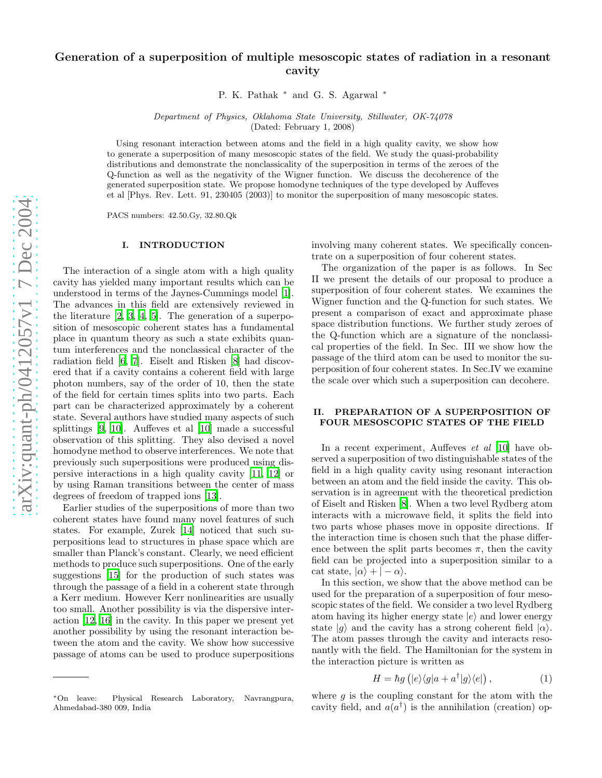# Generation of a superposition of multiple mesoscopic states of radiation in a resonant cavity

P. K. Pathak ∗ and G. S. Agarwal ∗

Department of Physics, Oklahoma State University, Stillwater, OK-74078 (Dated: February 1, 2008)

Using resonant interaction between atoms and the field in a high quality cavity, we show how to generate a superposition of many mesoscopic states of the field. We study the quasi-probability distributions and demonstrate the nonclassicality of the superposition in terms of the zeroes of the Q-function as well as the negativity of the Wigner function. We discuss the decoherence of the generated superposition state. We propose homodyne techniques of the type developed by Auffeves et al [Phys. Rev. Lett. 91, 230405 (2003)] to monitor the superposition of many mesoscopic states.

PACS numbers: 42.50.Gy, 32.80.Qk

#### I. INTRODUCTION

The interaction of a single atom with a high quality cavity has yielded many important results which can be understood in terms of the Jaynes-Cummings model [\[1\]](#page-4-0). The advances in this field are extensively reviewed in the literature [\[2,](#page-4-1) [3](#page-4-2), [4](#page-4-3), [5\]](#page-4-4). The generation of a superposition of mesoscopic coherent states has a fundamental place in quantum theory as such a state exhibits quantum interferences and the nonclassical character of the radiation field [\[6,](#page-4-5) [7\]](#page-4-6). Eiselt and Risken [\[8](#page-4-7)] had discovered that if a cavity contains a coherent field with large photon numbers, say of the order of 10, then the state of the field for certain times splits into two parts. Each part can be characterized approximately by a coherent state. Several authors have studied many aspects of such splittings [\[9,](#page-4-8) [10](#page-4-9)]. Auffeves et al [\[10\]](#page-4-9) made a successful observation of this splitting. They also devised a novel homodyne method to observe interferences. We note that previously such superpositions were produced using dispersive interactions in a high quality cavity [\[11,](#page-4-10) [12](#page-4-11)] or by using Raman transitions between the center of mass degrees of freedom of trapped ions [\[13](#page-4-12)].

Earlier studies of the superpositions of more than two coherent states have found many novel features of such states. For example, Zurek [\[14\]](#page-4-13) noticed that such superpositions lead to structures in phase space which are smaller than Planck's constant. Clearly, we need efficient methods to produce such superpositions. One of the early suggestions [\[15\]](#page-4-14) for the production of such states was through the passage of a field in a coherent state through a Kerr medium. However Kerr nonlinearities are usually too small. Another possibility is via the dispersive interaction [\[12](#page-4-11), [16](#page-4-15)] in the cavity. In this paper we present yet another possibility by using the resonant interaction between the atom and the cavity. We show how successive passage of atoms can be used to produce superpositions

involving many coherent states. We specifically concentrate on a superposition of four coherent states.

The organization of the paper is as follows. In Sec II we present the details of our proposal to produce a superposition of four coherent states. We examines the Wigner function and the Q-function for such states. We present a comparison of exact and approximate phase space distribution functions. We further study zeroes of the Q-function which are a signature of the nonclassical properties of the field. In Sec. III we show how the passage of the third atom can be used to monitor the superposition of four coherent states. In Sec.IV we examine the scale over which such a superposition can decohere.

## II. PREPARATION OF A SUPERPOSITION OF FOUR MESOSCOPIC STATES OF THE FIELD

In a recent experiment, Auffeves *et al* [\[10\]](#page-4-9) have observed a superposition of two distinguishable states of the field in a high quality cavity using resonant interaction between an atom and the field inside the cavity. This observation is in agreement with the theoretical prediction of Eiselt and Risken [\[8\]](#page-4-7). When a two level Rydberg atom interacts with a microwave field, it splits the field into two parts whose phases move in opposite directions. If the interaction time is chosen such that the phase difference between the split parts becomes  $\pi$ , then the cavity field can be projected into a superposition similar to a cat state,  $|\alpha\rangle + |-\alpha\rangle$ .

In this section, we show that the above method can be used for the preparation of a superposition of four mesoscopic states of the field. We consider a two level Rydberg atom having its higher energy state  $|e\rangle$  and lower energy state  $|g\rangle$  and the cavity has a strong coherent field  $|\alpha\rangle$ . The atom passes through the cavity and interacts resonantly with the field. The Hamiltonian for the system in the interaction picture is written as

<span id="page-0-0"></span>
$$
H = \hbar g\left(|e\rangle\langle g|a + a^{\dagger}|g\rangle\langle e|\right),\tag{1}
$$

where  $g$  is the coupling constant for the atom with the cavity field, and  $a(a^{\dagger})$  is the annihilation (creation) op-

<sup>∗</sup>On leave: Physical Research Laboratory, Navrangpura, Ahmedabad-380 009, India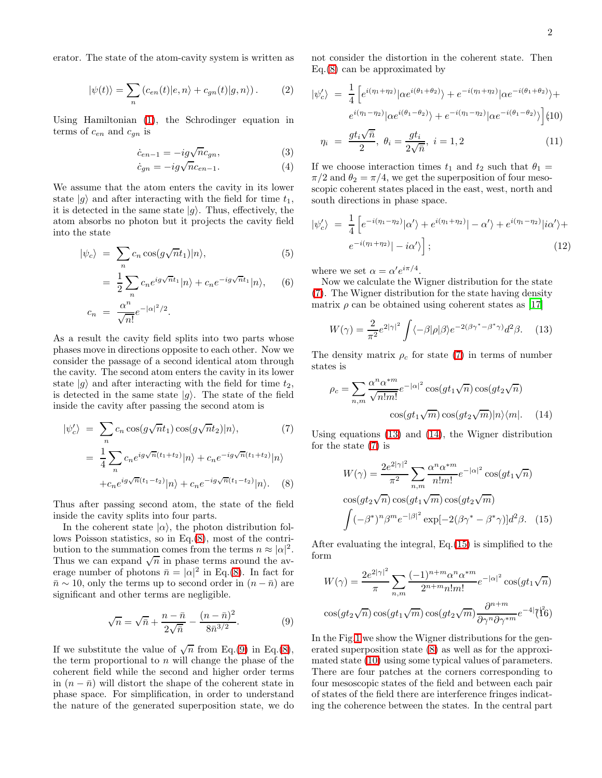erator. The state of the atom-cavity system is written as

$$
|\psi(t)\rangle = \sum_{n} (c_{en}(t)|e, n\rangle + c_{gn}(t)|g, n\rangle).
$$
 (2)

Using Hamiltonian [\(1\)](#page-0-0), the Schrodinger equation in terms of  $c_{en}$  and  $c_{gn}$  is

$$
\dot{c}_{en-1} = -ig\sqrt{n}c_{gn},\qquad(3)
$$

$$
\dot{c}_{gn} = -ig\sqrt{n}c_{en-1}.\tag{4}
$$

We assume that the atom enters the cavity in its lower state  $|g\rangle$  and after interacting with the field for time  $t_1$ , it is detected in the same state  $|g\rangle$ . Thus, effectively, the atom absorbs no photon but it projects the cavity field into the state

$$
|\psi_c\rangle = \sum_n c_n \cos(g\sqrt{n}t_1)|n\rangle, \tag{5}
$$

$$
= \frac{1}{2} \sum_{n} c_n e^{ig\sqrt{n}t_1} |n\rangle + c_n e^{-ig\sqrt{n}t_1} |n\rangle, \quad (6)
$$

$$
c_n = \frac{\alpha^n}{\sqrt{n!}} e^{-|\alpha|^2/2}.
$$

As a result the cavity field splits into two parts whose phases move in directions opposite to each other. Now we consider the passage of a second identical atom through the cavity. The second atom enters the cavity in its lower state  $|q\rangle$  and after interacting with the field for time  $t_2$ , is detected in the same state  $|g\rangle$ . The state of the field inside the cavity after passing the second atom is

<span id="page-1-0"></span>
$$
|\psi_c'\rangle = \sum_n c_n \cos(g\sqrt{n}t_1) \cos(g\sqrt{n}t_2)|n\rangle, \tag{7}
$$

$$
= \frac{1}{4} \sum_n c_n e^{ig\sqrt{n}(t_1+t_2)}|n\rangle + c_n e^{-ig\sqrt{n}(t_1+t_2)}|n\rangle
$$

$$
+ c_n e^{ig\sqrt{n}(t_1-t_2)}|n\rangle + c_n e^{-ig\sqrt{n}(t_1-t_2)}|n\rangle. \tag{8}
$$

Thus after passing second atom, the state of the field inside the cavity splits into four parts.

In the coherent state  $|\alpha\rangle$ , the photon distribution follows Poisson statistics, so in Eq.[\(8\)](#page-1-0), most of the contribution to the summation comes from the terms  $n \approx |\alpha|^2$ . Thus we can expand  $\sqrt{n}$  in phase terms around the average number of photons  $\bar{n} = |\alpha|^2$  in Eq.[\(8\)](#page-1-0). In fact for  $\bar{n} \sim 10$ , only the terms up to second order in  $(n - \bar{n})$  are significant and other terms are negligible.

<span id="page-1-1"></span>
$$
\sqrt{n} = \sqrt{\bar{n}} + \frac{n - \bar{n}}{2\sqrt{\bar{n}}} - \frac{(n - \bar{n})^2}{8\bar{n}^{3/2}}.
$$
 (9)

If we substitute the value of  $\sqrt{n}$  from Eq.[\(9\)](#page-1-1) in Eq.[\(8\)](#page-1-0), the term proportional to  $n$  will change the phase of the coherent field while the second and higher order terms in  $(n - \bar{n})$  will distort the shape of the coherent state in phase space. For simplification, in order to understand the nature of the generated superposition state, we do not consider the distortion in the coherent state. Then Eq.[\(8\)](#page-1-0) can be approximated by

<span id="page-1-5"></span>
$$
|\psi'_c\rangle = \frac{1}{4} \left[ e^{i(\eta_1 + \eta_2)} |\alpha e^{i(\theta_1 + \theta_2)}\rangle + e^{-i(\eta_1 + \eta_2)} |\alpha e^{-i(\theta_1 + \theta_2)}\rangle + e^{i(\eta_1 - \eta_2)} |\alpha e^{i(\theta_1 - \theta_2)}\rangle + e^{-i(\eta_1 - \eta_2)} |\alpha e^{-i(\theta_1 - \theta_2)}\rangle \right]
$$
(10)

$$
\eta_i \ = \ \frac{gt_i\sqrt{\bar{n}}}{2}, \ \theta_i = \frac{gt_i}{2\sqrt{\bar{n}}}, \ i = 1, 2 \tag{11}
$$

If we choose interaction times  $t_1$  and  $t_2$  such that  $\theta_1 =$  $\pi/2$  and  $\theta_2 = \pi/4$ , we get the superposition of four mesoscopic coherent states placed in the east, west, north and south directions in phase space.

<span id="page-1-6"></span>
$$
|\psi'_c\rangle = \frac{1}{4} \left[ e^{-i(\eta_1 - \eta_2)} |\alpha'\rangle + e^{i(\eta_1 + \eta_2)} | - \alpha'\rangle + e^{i(\eta_1 - \eta_2)} |i\alpha'\rangle + e^{-i(\eta_1 + \eta_2)} | - i\alpha'\rangle \right];
$$
\n(12)

where we set  $\alpha = \alpha' e^{i\pi/4}$ .

Now we calculate the Wigner distribution for the state [\(7\)](#page-1-0). The Wigner distribution for the state having density matrix  $\rho$  can be obtained using coherent states as [\[17](#page-4-16)]

$$
W(\gamma) = \frac{2}{\pi^2} e^{2|\gamma|^2} \int \langle -\beta | \rho | \beta \rangle e^{-2(\beta \gamma^* - \beta^* \gamma)} d^2 \beta. \tag{13}
$$

<span id="page-1-3"></span><span id="page-1-2"></span>The density matrix  $\rho_c$  for state [\(7\)](#page-1-0) in terms of number states is

$$
\rho_c = \sum_{n,m} \frac{\alpha^n \alpha^{*m}}{\sqrt{n!m!}} e^{-|\alpha|^2} \cos(gt_1\sqrt{n}) \cos(gt_2\sqrt{n})
$$

$$
\cos(gt_1\sqrt{m}) \cos(gt_2\sqrt{m}) |n\rangle\langle m|.
$$
 (14)

<span id="page-1-4"></span>Using equations [\(13\)](#page-1-2) and [\(14\)](#page-1-3), the Wigner distribution for the state [\(7\)](#page-1-0) is

$$
W(\gamma) = \frac{2e^{2|\gamma|^2}}{\pi^2} \sum_{n,m} \frac{\alpha^n \alpha^{*m}}{n!m!} e^{-|\alpha|^2} \cos(gt_1\sqrt{n})
$$

$$
\cos(gt_2\sqrt{n}) \cos(gt_1\sqrt{m}) \cos(gt_2\sqrt{m})
$$

$$
\int (-\beta^*)^n \beta^m e^{-|\beta|^2} \exp[-2(\beta\gamma^* - \beta^*\gamma)]d^2\beta. \quad (15)
$$

After evaluating the integral, Eq.[\(15\)](#page-1-4) is simplified to the form

$$
W(\gamma) = \frac{2e^{2|\gamma|^2}}{\pi} \sum_{n,m} \frac{(-1)^{n+m} \alpha^n \alpha^{*m}}{2^{n+m} n! m!} e^{-|\alpha|^2} \cos(gt_1\sqrt{n})
$$
  

$$
\cos(gt_2\sqrt{n}) \cos(gt_1\sqrt{m}) \cos(gt_2\sqrt{m}) \frac{\partial^{n+m}}{\partial \gamma^n \partial \gamma^{*m}} e^{-4|\gamma|^2} (6)
$$

In the Fig[.1](#page-3-0) we show the Wigner distributions for the generated superposition state [\(8\)](#page-1-0) as well as for the approximated state [\(10\)](#page-1-5) using some typical values of parameters. There are four patches at the corners corresponding to four mesoscopic states of the field and between each pair of states of the field there are interference fringes indicating the coherence between the states. In the central part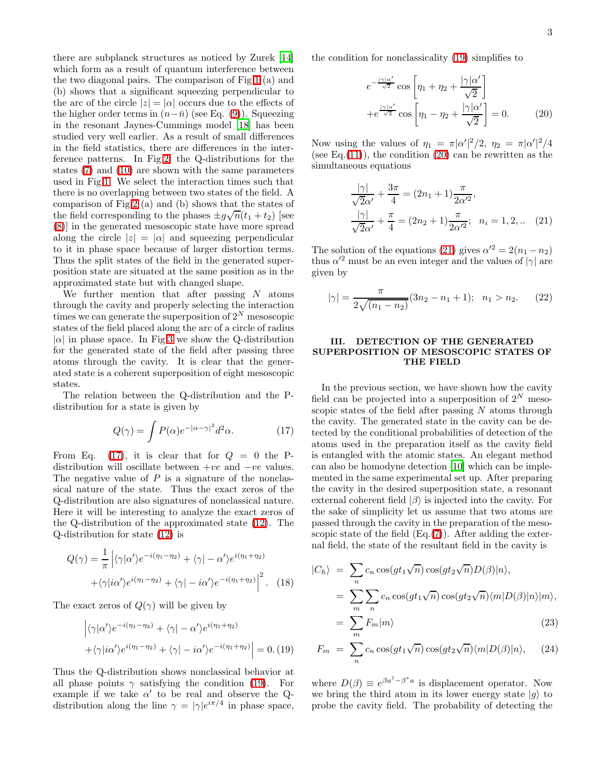3

there are subplanck structures as noticed by Zurek [\[14](#page-4-13)] which form as a result of quantum interference between the two diagonal pairs. The comparison of Fig[.1](#page-3-0) (a) and (b) shows that a significant squeezing perpendicular to the arc of the circle  $|z| = |\alpha|$  occurs due to the effects of the higher order terms in  $(n-\bar{n})$  (see Eq. [\(9\)](#page-1-1)). Squeezing in the resonant Jaynes-Cummings model [\[18\]](#page-4-17) has been studied very well earlier. As a result of small differences in the field statistics, there are differences in the interference patterns. In Fig[.2,](#page-3-1) the Q-distributions for the states [\(7\)](#page-1-0) and [\(10\)](#page-1-5) are shown with the same parameters used in Fig[.1.](#page-3-0) We select the interaction times such that there is no overlapping between two states of the field. A comparison of Fig[.2](#page-3-1) (a) and (b) shows that the states of the field corresponding to the phases  $\pm g\sqrt{n}(t_1 + t_2)$  [see [\(8\)](#page-1-0)] in the generated mesoscopic state have more spread along the circle  $|z| = |\alpha|$  and squeezing perpendicular to it in phase space because of larger distortion terms. Thus the split states of the field in the generated superposition state are situated at the same position as in the approximated state but with changed shape.

We further mention that after passing  $N$  atoms through the cavity and properly selecting the interaction times we can generate the superposition of  $2^N$  mesoscopic states of the field placed along the arc of a circle of radius  $|\alpha|$  in phase space. In Fig[.3](#page-3-2) we show the Q-distribution for the generated state of the field after passing three atoms through the cavity. It is clear that the generated state is a coherent superposition of eight mesoscopic states.

The relation between the Q-distribution and the Pdistribution for a state is given by

<span id="page-2-0"></span>
$$
Q(\gamma) = \int P(\alpha)e^{-|\alpha - \gamma|^2}d^2\alpha.
$$
 (17)

From Eq. [\(17\)](#page-2-0), it is clear that for  $Q = 0$  the Pdistribution will oscillate between  $+ve$  and  $-ve$  values. The negative value of  $P$  is a signature of the nonclassical nature of the state. Thus the exact zeros of the Q-distribution are also signatures of nonclassical nature. Here it will be interesting to analyze the exact zeros of the Q-distribution of the approximated state [\(12\)](#page-1-6). The Q-distribution for state [\(12\)](#page-1-6) is

$$
Q(\gamma) = \frac{1}{\pi} \left| \langle \gamma | \alpha' \rangle e^{-i(\eta_1 - \eta_2)} + \langle \gamma | - \alpha' \rangle e^{i(\eta_1 + \eta_2)} + \langle \gamma | i \alpha' \rangle e^{i(\eta_1 - \eta_2)} + \langle \gamma | - i \alpha' \rangle e^{-i(\eta_1 + \eta_2)} \right|^2.
$$
 (18)

<span id="page-2-1"></span>The exact zeros of  $Q(\gamma)$  will be given by

$$
\left| \langle \gamma | \alpha' \rangle e^{-i(\eta_1 - \eta_2)} + \langle \gamma | - \alpha' \rangle e^{i(\eta_1 + \eta_2)} \right|
$$
  
+
$$
\langle \gamma | i \alpha' \rangle e^{i(\eta_1 - \eta_2)} + \langle \gamma | - i \alpha' \rangle e^{-i(\eta_1 + \eta_2)} \Big| = 0. (19)
$$

Thus the Q-distribution shows nonclassical behavior at all phase points  $\gamma$  satisfying the condition [\(19\)](#page-2-1). For example if we take  $\alpha'$  to be real and observe the Qdistribution along the line  $\gamma = |\gamma|e^{i\pi/4}$  in phase space,

<span id="page-2-2"></span>the condition for nonclassicality [\(19\)](#page-2-1) simplifies to

$$
e^{-\frac{|\gamma|\alpha'}{\sqrt{2}}}\cos\left[\eta_1 + \eta_2 + \frac{|\gamma|\alpha'}{\sqrt{2}}\right] + e^{\frac{|\gamma|\alpha'}{\sqrt{2}}}\cos\left[\eta_1 - \eta_2 + \frac{|\gamma|\alpha'}{\sqrt{2}}\right] = 0.
$$
 (20)

<span id="page-2-3"></span>Now using the values of  $\eta_1 = \pi |\alpha'|^2/2$ ,  $\eta_2 = \pi |\alpha'|^2/4$ (see Eq. $(11)$ ), the condition  $(20)$  can be rewritten as the simultaneous equations

$$
\frac{|\gamma|}{\sqrt{2}\alpha'} + \frac{3\pi}{4} = (2n_1 + 1)\frac{\pi}{2\alpha'^2},
$$
  

$$
\frac{|\gamma|}{\sqrt{2}\alpha'} + \frac{\pi}{4} = (2n_2 + 1)\frac{\pi}{2\alpha'^2}; \quad n_i = 1, 2, ... \quad (21)
$$

The solution of the equations [\(21\)](#page-2-3) gives  $\alpha'^2 = 2(n_1 - n_2)$ thus  $\alpha'^2$  must be an even integer and the values of  $|\gamma|$  are given by

$$
|\gamma| = \frac{\pi}{2\sqrt{(n_1 - n_2)}} (3n_2 - n_1 + 1); \quad n_1 > n_2. \tag{22}
$$

## III. DETECTION OF THE GENERATED SUPERPOSITION OF MESOSCOPIC STATES OF THE FIELD

In the previous section, we have shown how the cavity field can be projected into a superposition of  $2^N$  mesoscopic states of the field after passing  $N$  atoms through the cavity. The generated state in the cavity can be detected by the conditional probabilities of detection of the atoms used in the preparation itself as the cavity field is entangled with the atomic states. An elegant method can also be homodyne detection [\[10\]](#page-4-9) which can be implemented in the same experimental set up. After preparing the cavity in the desired superposition state, a resonant external coherent field  $|\beta\rangle$  is injected into the cavity. For the sake of simplicity let us assume that two atoms are passed through the cavity in the preparation of the mesoscopic state of the field  $(Eq.(7))$  $(Eq.(7))$  $(Eq.(7))$ . After adding the external field, the state of the resultant field in the cavity is

$$
|C_h\rangle = \sum_{n} c_n \cos(gt_1\sqrt{n}) \cos(gt_2\sqrt{n}) D(\beta)|n\rangle,
$$
  
= 
$$
\sum_{m} \sum_{n} c_n \cos(gt_1\sqrt{n}) \cos(gt_2\sqrt{n}) \langle m|D(\beta)|n\rangle |m\rangle,
$$
  
= 
$$
\sum F_m |m\rangle
$$
 (23)

$$
F_m = \sum_{n}^{m} c_n \cos(gt_1\sqrt{n}) \cos(gt_2\sqrt{n}) \langle m|D(\beta)|n\rangle, \quad (24)
$$

where  $D(\beta) \equiv e^{\beta a^{\dagger} - \beta^* a}$  is displacement operator. Now we bring the third atom in its lower energy state  $|q\rangle$  to probe the cavity field. The probability of detecting the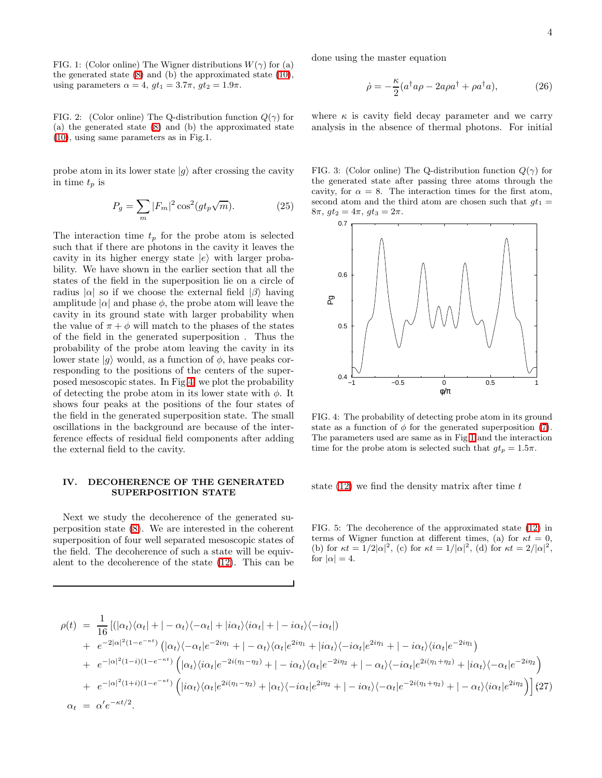<span id="page-3-0"></span>FIG. 1: (Color online) The Wigner distributions  $W(\gamma)$  for (a) the generated state [\(8\)](#page-1-0) and (b) the approximated state [\(10\)](#page-1-5), using parameters  $\alpha = 4$ ,  $gt_1 = 3.7\pi$ ,  $gt_2 = 1.9\pi$ .

<span id="page-3-1"></span>FIG. 2: (Color online) The Q-distribution function  $Q(\gamma)$  for (a) the generated state [\(8\)](#page-1-0) and (b) the approximated state [\(10\)](#page-1-5), using same parameters as in Fig.1.

probe atom in its lower state  $|g\rangle$  after crossing the cavity in time  $t_p$  is

$$
P_g = \sum_m |F_m|^2 \cos^2(gt_p\sqrt{m}).\tag{25}
$$

The interaction time  $t_p$  for the probe atom is selected such that if there are photons in the cavity it leaves the cavity in its higher energy state  $|e\rangle$  with larger probability. We have shown in the earlier section that all the states of the field in the superposition lie on a circle of radius  $|\alpha|$  so if we choose the external field  $|\beta\rangle$  having amplitude  $|\alpha|$  and phase  $\phi$ , the probe atom will leave the cavity in its ground state with larger probability when the value of  $\pi + \phi$  will match to the phases of the states of the field in the generated superposition . Thus the probability of the probe atom leaving the cavity in its lower state  $|g\rangle$  would, as a function of  $\phi$ , have peaks corresponding to the positions of the centers of the superposed mesoscopic states. In Fig[.4,](#page-3-3) we plot the probability of detecting the probe atom in its lower state with  $\phi$ . It shows four peaks at the positions of the four states of the field in the generated superposition state. The small oscillations in the background are because of the interference effects of residual field components after adding the external field to the cavity.

## IV. DECOHERENCE OF THE GENERATED SUPERPOSITION STATE

Next we study the decoherence of the generated superposition state [\(8\)](#page-1-0). We are interested in the coherent superposition of four well separated mesoscopic states of the field. The decoherence of such a state will be equivalent to the decoherence of the state [\(12\)](#page-1-6). This can be

done using the master equation

$$
\dot{\rho} = -\frac{\kappa}{2} (a^{\dagger} a \rho - 2a \rho a^{\dagger} + \rho a^{\dagger} a), \tag{26}
$$

where  $\kappa$  is cavity field decay parameter and we carry analysis in the absence of thermal photons. For initial

<span id="page-3-2"></span>FIG. 3: (Color online) The Q-distribution function  $Q(\gamma)$  for the generated state after passing three atoms through the cavity, for  $\alpha = 8$ . The interaction times for the first atom, second atom and the third atom are chosen such that  $gt_1$  =  $8\pi$ ,  $gt_2 = 4\pi$ ,  $gt_3 = 2\pi$ .



<span id="page-3-3"></span>FIG. 4: The probability of detecting probe atom in its ground state as a function of  $\phi$  for the generated superposition [\(7\)](#page-1-0). The parameters used are same as in Fig[.1](#page-3-0) and the interaction time for the probe atom is selected such that  $gt_p = 1.5\pi$ .

state  $(12)$  we find the density matrix after time t

<span id="page-3-5"></span>FIG. 5: The decoherence of the approximated state [\(12\)](#page-1-6) in terms of Wigner function at different times, (a) for  $\kappa t = 0$ , (b) for  $\kappa t = 1/2|\alpha|^2$ , (c) for  $\kappa t = 1/|\alpha|^2$ , (d) for  $\kappa t = 2/|\alpha|^2$ , for  $|\alpha|=4$ .

<span id="page-3-4"></span>
$$
\rho(t) = \frac{1}{16} \left[ (|\alpha_t\rangle\langle\alpha_t| + |-\alpha_t\rangle\langle-\alpha_t| + |i\alpha_t\rangle\langle i\alpha_t| + |-i\alpha_t\rangle\langle-i\alpha_t| \right) \n+ e^{-2|\alpha|^2(1-e^{-\kappa t})} \left( |\alpha_t\rangle\langle-\alpha_t|e^{-2i\eta_1} + |-\alpha_t\rangle\langle\alpha_t|e^{2i\eta_1} + |i\alpha_t\rangle\langle-i\alpha_t|e^{2i\eta_1} + |-i\alpha_t\rangle\langle i\alpha_t|e^{-2i\eta_1} \right) \n+ e^{-|\alpha|^2(1-i)(1-e^{-\kappa t})} \left( |\alpha_t\rangle\langle i\alpha_t|e^{-2i(\eta_1-\eta_2)} + |-i\alpha_t\rangle\langle\alpha_t|e^{-2i\eta_2} + |-\alpha_t\rangle\langle-i\alpha_t|e^{2i(\eta_1+\eta_2)} + |i\alpha_t\rangle\langle-\alpha_t|e^{-2i\eta_2} \right) \n+ e^{-|\alpha|^2(1+i)(1-e^{-\kappa t})} \left( |i\alpha_t\rangle\langle\alpha_t|e^{2i(\eta_1-\eta_2)} + |\alpha_t\rangle\langle-i\alpha_t|e^{2i\eta_2} + |-i\alpha_t\rangle\langle-\alpha_t|e^{-2i(\eta_1+\eta_2)} + |-\alpha_t\rangle\langle i\alpha_t|e^{2i\eta_2} \right) \right] (27)
$$
\n
$$
\alpha_t = \alpha'e^{-\kappa t/2}.
$$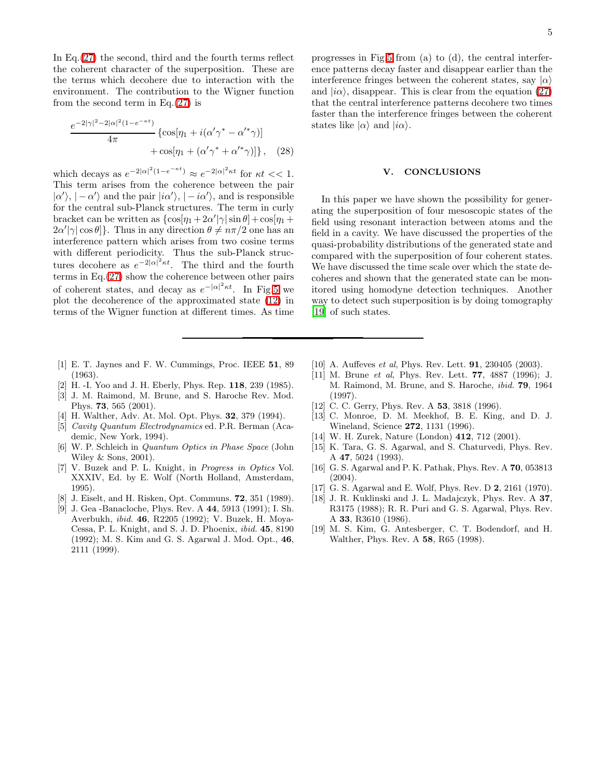In Eq.[\(27\)](#page-3-4) the second, third and the fourth terms reflect the coherent character of the superposition. These are the terms which decohere due to interaction with the environment. The contribution to the Wigner function from the second term in Eq. $(27)$  is

$$
\frac{e^{-2|\gamma|^2 - 2|\alpha|^2(1 - e^{-\kappa t})}}{4\pi} \left\{ \cos[\eta_1 + i(\alpha'\gamma^* - \alpha'^*\gamma)] + \cos[\eta_1 + (\alpha'\gamma^* + \alpha'^*\gamma)] \right\}, \quad (28)
$$

which decays as  $e^{-2|\alpha|^2(1-e^{-\kappa t})} \approx e^{-2|\alpha|^2\kappa t}$  for  $\kappa t << 1$ . This term arises from the coherence between the pair  $|\alpha'\rangle, |-\alpha'\rangle$  and the pair  $|i\alpha'\rangle, |-i\alpha'\rangle$ , and is responsible for the central sub-Planck structures. The term in curly bracket can be written as  $\{\cos[\eta_1 + 2\alpha'|\gamma|\sin\theta] + \cos[\eta_1 + \alpha\}$  $\{2\alpha'|\gamma|\cos\theta\}$ . Thus in any direction  $\theta \neq n\pi/2$  one has an interference pattern which arises from two cosine terms with different periodicity. Thus the sub-Planck structures decohere as  $e^{-2|\alpha|^2 \kappa t}$ . The third and the fourth terms in Eq.[\(27\)](#page-3-4) show the coherence between other pairs of coherent states, and decay as  $e^{-|\alpha|^2 \kappa t}$ . In Fig[.5](#page-3-5) we plot the decoherence of the approximated state [\(12\)](#page-1-6) in terms of the Wigner function at different times. As time

- <span id="page-4-0"></span>[1] E. T. Jaynes and F. W. Cummings, Proc. IEEE 51, 89 (1963).
- [2] H. -I. Yoo and J. H. Eberly, Phys. Rep. 118, 239 (1985).
- <span id="page-4-2"></span><span id="page-4-1"></span>[3] J. M. Raimond, M. Brune, and S. Haroche Rev. Mod. Phys. 73, 565 (2001).
- <span id="page-4-3"></span>[4] H. Walther, Adv. At. Mol. Opt. Phys. 32, 379 (1994).
- <span id="page-4-4"></span>[5] Cavity Quantum Electrodynamics ed. P.R. Berman (Academic, New York, 1994).
- <span id="page-4-5"></span>[6] W. P. Schleich in Quantum Optics in Phase Space (John Wiley & Sons, 2001).
- <span id="page-4-6"></span>[7] V. Buzek and P. L. Knight, in Progress in Optics Vol. XXXIV, Ed. by E. Wolf (North Holland, Amsterdam, 1995).
- <span id="page-4-7"></span>[8] J. Eiselt, and H. Risken, Opt. Communs. 72, 351 (1989).
- <span id="page-4-8"></span>[9] J. Gea -Banacloche, Phys. Rev. A 44, 5913 (1991); I. Sh. Averbukh, ibid. 46, R2205 (1992); V. Buzek, H. Moya-Cessa, P. L. Knight, and S. J. D. Phoenix, ibid. 45, 8190 (1992); M. S. Kim and G. S. Agarwal J. Mod. Opt., 46, 2111 (1999).

progresses in Fig[.5](#page-3-5) from (a) to (d), the central interference patterns decay faster and disappear earlier than the interference fringes between the coherent states, say  $|\alpha\rangle$ and  $|i\alpha\rangle$ , disappear. This is clear from the equation [\(27\)](#page-3-4) that the central interference patterns decohere two times faster than the interference fringes between the coherent states like  $|\alpha\rangle$  and  $|i\alpha\rangle$ .

#### V. CONCLUSIONS

In this paper we have shown the possibility for generating the superposition of four mesoscopic states of the field using resonant interaction between atoms and the field in a cavity. We have discussed the properties of the quasi-probability distributions of the generated state and compared with the superposition of four coherent states. We have discussed the time scale over which the state decoheres and shown that the generated state can be monitored using homodyne detection techniques. Another way to detect such superposition is by doing tomography [\[19\]](#page-4-18) of such states.

- <span id="page-4-9"></span>[10] A. Auffeves *et al*, Phys. Rev. Lett. **91**, 230405 (2003).
- <span id="page-4-10"></span>[11] M. Brune et al, Phys. Rev. Lett. 77, 4887 (1996); J. M. Raimond, M. Brune, and S. Haroche, ibid. 79, 1964 (1997).
- <span id="page-4-11"></span>[12] C. C. Gerry, Phys. Rev. A **53**, 3818 (1996).
- <span id="page-4-12"></span>[13] C. Monroe, D. M. Meekhof, B. E. King, and D. J. Wineland, Science 272, 1131 (1996).
- <span id="page-4-13"></span>[14] W. H. Zurek, Nature (London) 412, 712 (2001).
- <span id="page-4-14"></span>[15] K. Tara, G. S. Agarwal, and S. Chaturvedi, Phys. Rev. A 47, 5024 (1993).
- <span id="page-4-15"></span>[16] G. S. Agarwal and P. K. Pathak, Phys. Rev. A 70, 053813 (2004).
- <span id="page-4-16"></span>[17] G. S. Agarwal and E. Wolf, Phys. Rev. D 2, 2161 (1970).
- <span id="page-4-17"></span>[18] J. R. Kuklinski and J. L. Madajczyk, Phys. Rev. A 37, R3175 (1988); R. R. Puri and G. S. Agarwal, Phys. Rev. A 33, R3610 (1986).
- <span id="page-4-18"></span>[19] M. S. Kim, G. Antesberger, C. T. Bodendorf, and H. Walther, Phys. Rev. A 58, R65 (1998).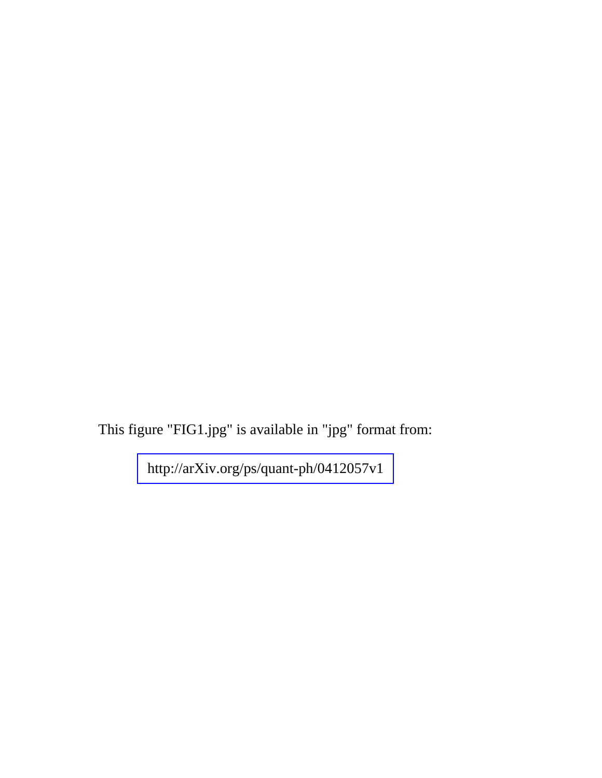This figure "FIG1.jpg" is available in "jpg" format from: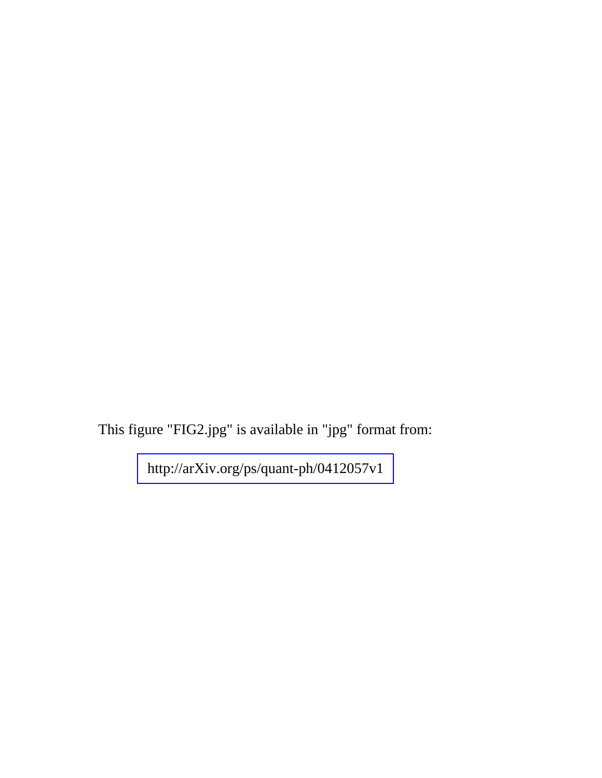This figure "FIG2.jpg" is available in "jpg" format from: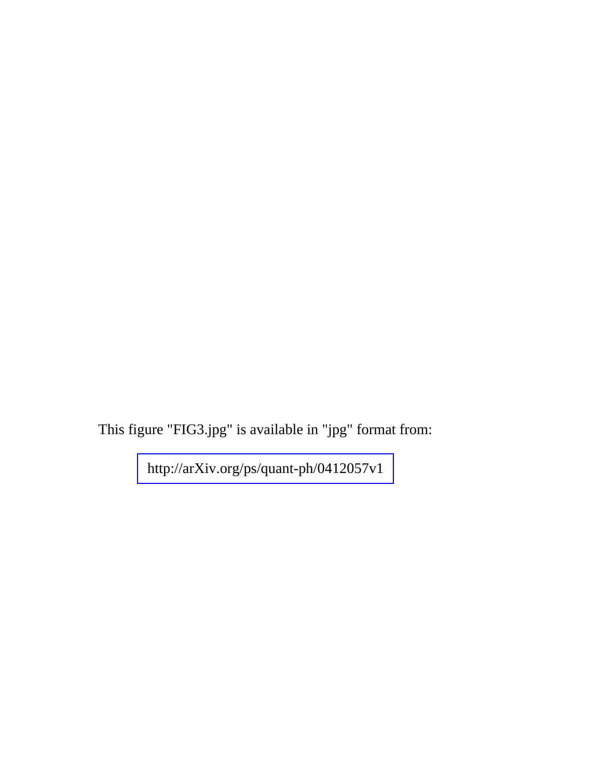This figure "FIG3.jpg" is available in "jpg" format from: